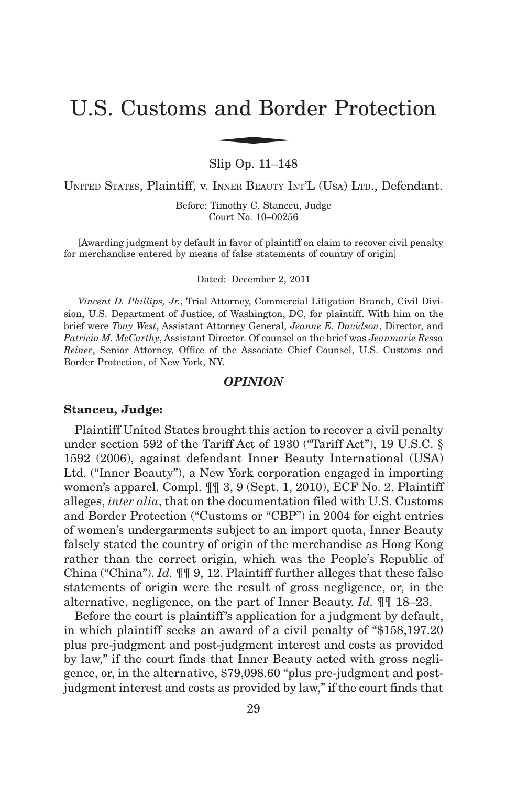# U.S. Customs and Border Protection and Bor

Slip Op. 11–148

UNITED STATES, Plaintiff, v. INNER BEAUTY INT'L (USA) LTD., Defendant.

Before: Timothy C. Stanceu, Judge Court No. 10–00256

[Awarding judgment by default in favor of plaintiff on claim to recover civil penalty for merchandise entered by means of false statements of country of origin]

Dated: December 2, 2011

*Vincent D. Phillips, Jr.*, Trial Attorney, Commercial Litigation Branch, Civil Division, U.S. Department of Justice, of Washington, DC, for plaintiff. With him on the brief were *Tony West*, Assistant Attorney General, *Jeanne E. Davidson*, Director, and *Patricia M. McCarthy*, Assistant Director. Of counsel on the brief was *Jeanmarie Ressa Reiner*, Senior Attorney, Office of the Associate Chief Counsel, U.S. Customs and Border Protection, of New York, NY.

# *OPINION*

## **Stanceu, Judge:**

Plaintiff United States brought this action to recover a civil penalty under section 592 of the Tariff Act of 1930 ("Tariff Act"), 19 U.S.C. § 1592 (2006), against defendant Inner Beauty International (USA) Ltd. ("Inner Beauty"), a New York corporation engaged in importing women's apparel. Compl. ¶¶ 3, 9 (Sept. 1, 2010), ECF No. 2. Plaintiff alleges, *inter alia*, that on the documentation filed with U.S. Customs and Border Protection ("Customs or "CBP") in 2004 for eight entries of women's undergarments subject to an import quota, Inner Beauty falsely stated the country of origin of the merchandise as Hong Kong rather than the correct origin, which was the People's Republic of China ("China"). *Id.* ¶¶ 9, 12. Plaintiff further alleges that these false statements of origin were the result of gross negligence, or, in the alternative, negligence, on the part of Inner Beauty. *Id.* ¶¶ 18–23.

Before the court is plaintiff's application for a judgment by default, in which plaintiff seeks an award of a civil penalty of "\$158,197.20 plus pre-judgment and post-judgment interest and costs as provided by law," if the court finds that Inner Beauty acted with gross negligence, or, in the alternative, \$79,098.60 "plus pre-judgment and postjudgment interest and costs as provided by law," if the court finds that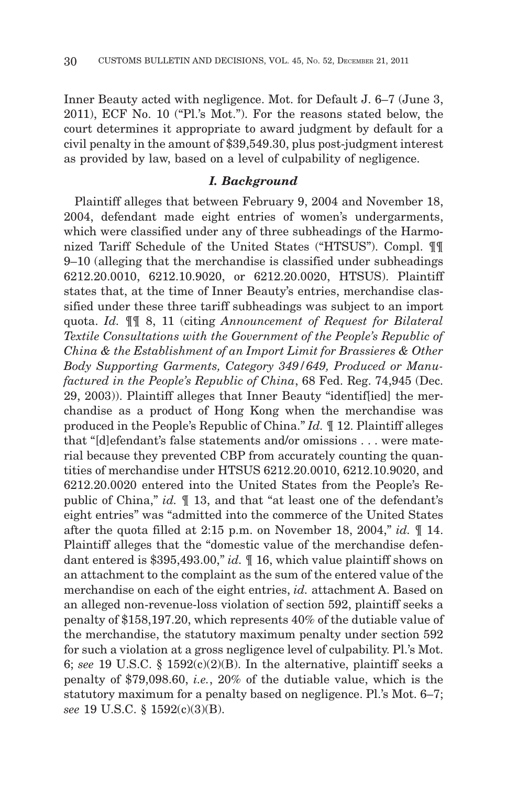Inner Beauty acted with negligence. Mot. for Default J. 6–7 (June 3, 2011), ECF No. 10 ("Pl.'s Mot."). For the reasons stated below, the court determines it appropriate to award judgment by default for a civil penalty in the amount of \$39,549.30, plus post-judgment interest as provided by law, based on a level of culpability of negligence.

# *I. Background*

Plaintiff alleges that between February 9, 2004 and November 18, 2004, defendant made eight entries of women's undergarments, which were classified under any of three subheadings of the Harmonized Tariff Schedule of the United States ("HTSUS"). Compl. ¶¶ 9–10 (alleging that the merchandise is classified under subheadings 6212.20.0010, 6212.10.9020, or 6212.20.0020, HTSUS). Plaintiff states that, at the time of Inner Beauty's entries, merchandise classified under these three tariff subheadings was subject to an import quota. *Id.* ¶¶ 8, 11 (citing *Announcement of Request for Bilateral Textile Consultations with the Government of the People's Republic of China & the Establishment of an Import Limit for Brassieres & Other Body Supporting Garments, Category 349/649, Produced or Manufactured in the People's Republic of China*, 68 Fed. Reg. 74,945 (Dec. 29, 2003)). Plaintiff alleges that Inner Beauty "identif[ied] the merchandise as a product of Hong Kong when the merchandise was produced in the People's Republic of China." *Id.* ¶ 12. Plaintiff alleges that "[d]efendant's false statements and/or omissions... were material because they prevented CBP from accurately counting the quantities of merchandise under HTSUS 6212.20.0010, 6212.10.9020, and 6212.20.0020 entered into the United States from the People's Republic of China," *id.* ¶ 13, and that "at least one of the defendant's eight entries" was "admitted into the commerce of the United States after the quota filled at 2:15 p.m. on November 18, 2004," *id.* ¶ 14. Plaintiff alleges that the "domestic value of the merchandise defendant entered is \$395,493.00," *id.* ¶ 16, which value plaintiff shows on an attachment to the complaint as the sum of the entered value of the merchandise on each of the eight entries, *id.* attachment A. Based on an alleged non-revenue-loss violation of section 592, plaintiff seeks a penalty of \$158,197.20, which represents 40% of the dutiable value of the merchandise, the statutory maximum penalty under section 592 for such a violation at a gross negligence level of culpability. Pl.'s Mot. 6; *see* 19 U.S.C. § 1592(c)(2)(B). In the alternative, plaintiff seeks a penalty of \$79,098.60, *i.e.*, 20% of the dutiable value, which is the statutory maximum for a penalty based on negligence. Pl.'s Mot. 6–7; *see* 19 U.S.C. § 1592(c)(3)(B).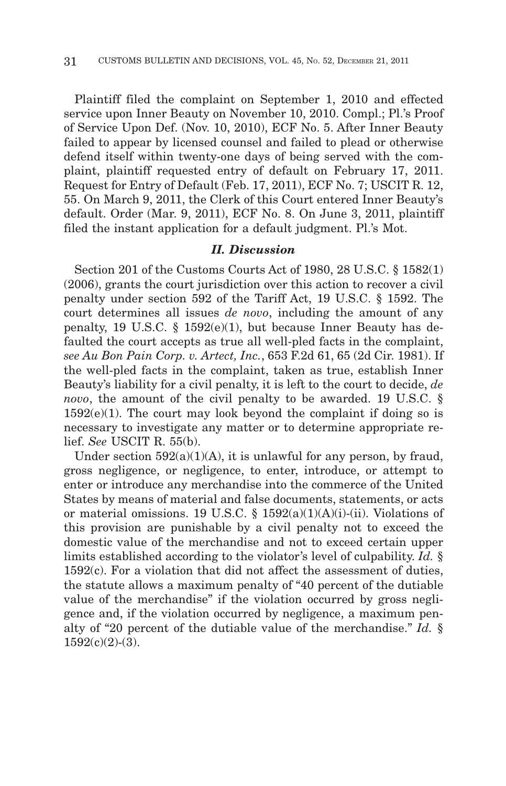Plaintiff filed the complaint on September 1, 2010 and effected service upon Inner Beauty on November 10, 2010. Compl.; Pl.'s Proof of Service Upon Def. (Nov. 10, 2010), ECF No. 5. After Inner Beauty failed to appear by licensed counsel and failed to plead or otherwise defend itself within twenty-one days of being served with the complaint, plaintiff requested entry of default on February 17, 2011. Request for Entry of Default (Feb. 17, 2011), ECF No. 7; USCIT R. 12, 55. On March 9, 2011, the Clerk of this Court entered Inner Beauty's default. Order (Mar. 9, 2011), ECF No. 8. On June 3, 2011, plaintiff filed the instant application for a default judgment. Pl.'s Mot.

## *II. Discussion*

Section 201 of the Customs Courts Act of 1980, 28 U.S.C. § 1582(1) (2006), grants the court jurisdiction over this action to recover a civil penalty under section 592 of the Tariff Act, 19 U.S.C. § 1592. The court determines all issues *de novo*, including the amount of any penalty, 19 U.S.C. § 1592(e)(1), but because Inner Beauty has defaulted the court accepts as true all well-pled facts in the complaint, *see Au Bon Pain Corp. v. Artect, Inc.*, 653 F.2d 61, 65 (2d Cir. 1981). If the well-pled facts in the complaint, taken as true, establish Inner Beauty's liability for a civil penalty, it is left to the court to decide, *de novo*, the amount of the civil penalty to be awarded. 19 U.S.C. §  $1592(e)(1)$ . The court may look beyond the complaint if doing so is necessary to investigate any matter or to determine appropriate relief. *See* USCIT R. 55(b).

Under section  $592(a)(1)(A)$ , it is unlawful for any person, by fraud, gross negligence, or negligence, to enter, introduce, or attempt to enter or introduce any merchandise into the commerce of the United States by means of material and false documents, statements, or acts or material omissions. 19 U.S.C. §  $1592(a)(1)(A)(i)$ -(ii). Violations of this provision are punishable by a civil penalty not to exceed the domestic value of the merchandise and not to exceed certain upper limits established according to the violator's level of culpability. *Id.* § 1592(c). For a violation that did not affect the assessment of duties, the statute allows a maximum penalty of "40 percent of the dutiable value of the merchandise" if the violation occurred by gross negligence and, if the violation occurred by negligence, a maximum penalty of "20 percent of the dutiable value of the merchandise." *Id.* §  $1592(c)(2)-(3)$ .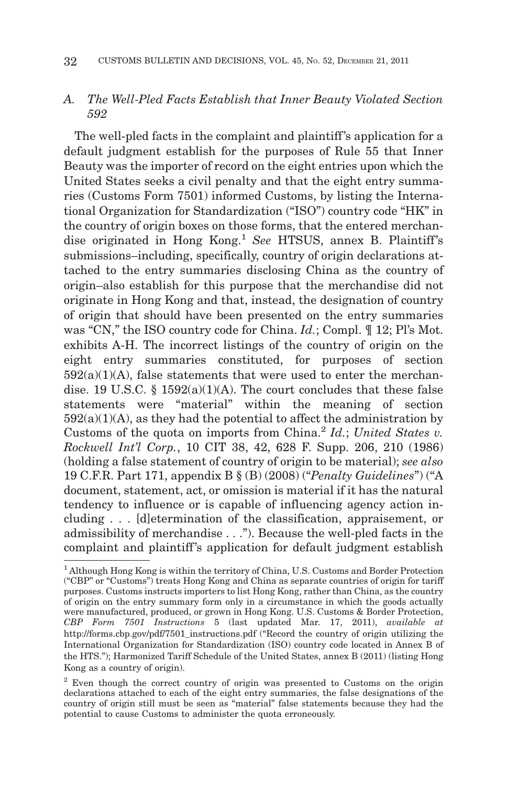# *A. The Well-Pled Facts Establish that Inner Beauty Violated Section 592*

The well-pled facts in the complaint and plaintiff's application for a default judgment establish for the purposes of Rule 55 that Inner Beauty was the importer of record on the eight entries upon which the United States seeks a civil penalty and that the eight entry summaries (Customs Form 7501) informed Customs, by listing the International Organization for Standardization ("ISO") country code "HK" in the country of origin boxes on those forms, that the entered merchandise originated in Hong Kong.<sup>1</sup> See HTSUS, annex B. Plaintiff's submissions–including, specifically, country of origin declarations attached to the entry summaries disclosing China as the country of origin–also establish for this purpose that the merchandise did not originate in Hong Kong and that, instead, the designation of country of origin that should have been presented on the entry summaries was "CN," the ISO country code for China. *Id.*; Compl. ¶ 12; Pl's Mot. exhibits A-H. The incorrect listings of the country of origin on the eight entry summaries constituted, for purposes of section  $592(a)(1)(A)$ , false statements that were used to enter the merchandise. 19 U.S.C. §  $1592(a)(1)(A)$ . The court concludes that these false statements were "material" within the meaning of section  $592(a)(1)(A)$ , as they had the potential to affect the administration by Customs of the quota on imports from China.2 *Id.*; *United States v. Rockwell Int'l Corp.*, 10 CIT 38, 42, 628 F. Supp. 206, 210 (1986) (holding a false statement of country of origin to be material); *see also* 19 C.F.R. Part 171, appendix B § (B) (2008) ("*Penalty Guidelines*") ("A document, statement, act, or omission is material if it has the natural tendency to influence or is capable of influencing agency action including... [d]etermination of the classification, appraisement, or admissibility of merchandise . . ."). Because the well-pled facts in the complaint and plaintiff's application for default judgment establish

<sup>1</sup> Although Hong Kong is within the territory of China, U.S. Customs and Border Protection ("CBP" or "Customs") treats Hong Kong and China as separate countries of origin for tariff purposes. Customs instructs importers to list Hong Kong, rather than China, as the country of origin on the entry summary form only in a circumstance in which the goods actually were manufactured, produced, or grown in Hong Kong. U.S. Customs & Border Protection, *CBP Form 7501 Instructions* 5 (last updated Mar. 17, 2011), *available at* http://forms.cbp.gov/pdf/7501\_instructions.pdf ("Record the country of origin utilizing the International Organization for Standardization (ISO) country code located in Annex B of the HTS."); Harmonized Tariff Schedule of the United States, annex B (2011) (listing Hong Kong as a country of origin).

<sup>&</sup>lt;sup>2</sup> Even though the correct country of origin was presented to Customs on the origin declarations attached to each of the eight entry summaries, the false designations of the country of origin still must be seen as "material" false statements because they had the potential to cause Customs to administer the quota erroneously.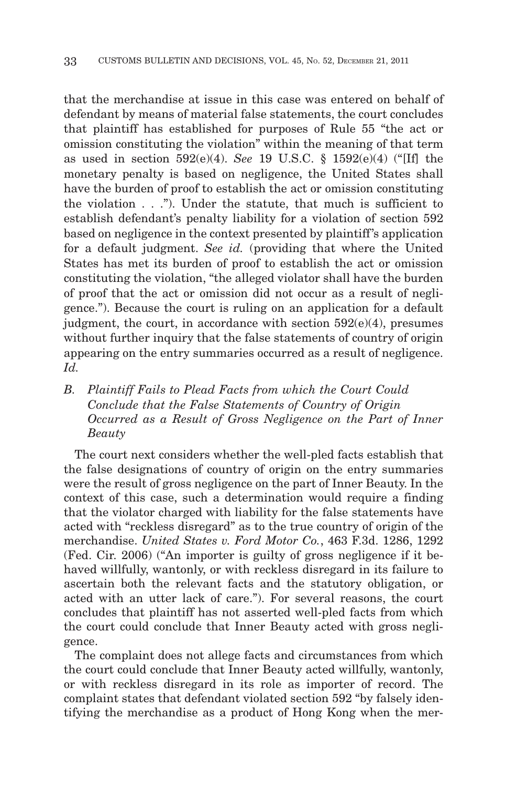that the merchandise at issue in this case was entered on behalf of defendant by means of material false statements, the court concludes that plaintiff has established for purposes of Rule 55 "the act or omission constituting the violation" within the meaning of that term as used in section 592(e)(4). *See* 19 U.S.C. § 1592(e)(4) ("[If] the monetary penalty is based on negligence, the United States shall have the burden of proof to establish the act or omission constituting the violation . . ."). Under the statute, that much is sufficient to establish defendant's penalty liability for a violation of section 592 based on negligence in the context presented by plaintiff's application for a default judgment. *See id.* (providing that where the United States has met its burden of proof to establish the act or omission constituting the violation, "the alleged violator shall have the burden of proof that the act or omission did not occur as a result of negligence."). Because the court is ruling on an application for a default judgment, the court, in accordance with section  $592(e)(4)$ , presumes without further inquiry that the false statements of country of origin appearing on the entry summaries occurred as a result of negligence. *Id.*

# *B. Plaintiff Fails to Plead Facts from which the Court Could Conclude that the False Statements of Country of Origin Occurred as a Result of Gross Negligence on the Part of Inner Beauty*

The court next considers whether the well-pled facts establish that the false designations of country of origin on the entry summaries were the result of gross negligence on the part of Inner Beauty. In the context of this case, such a determination would require a finding that the violator charged with liability for the false statements have acted with "reckless disregard" as to the true country of origin of the merchandise. *United States v. Ford Motor Co.*, 463 F.3d. 1286, 1292 (Fed. Cir. 2006) ("An importer is guilty of gross negligence if it behaved willfully, wantonly, or with reckless disregard in its failure to ascertain both the relevant facts and the statutory obligation, or acted with an utter lack of care."). For several reasons, the court concludes that plaintiff has not asserted well-pled facts from which the court could conclude that Inner Beauty acted with gross negligence.

The complaint does not allege facts and circumstances from which the court could conclude that Inner Beauty acted willfully, wantonly, or with reckless disregard in its role as importer of record. The complaint states that defendant violated section 592 "by falsely identifying the merchandise as a product of Hong Kong when the mer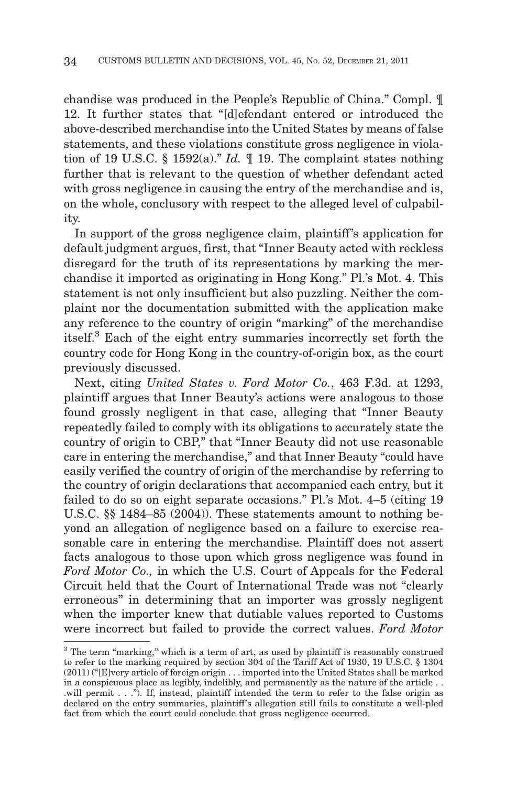chandise was produced in the People's Republic of China." Compl. ¶ 12. It further states that "[d]efendant entered or introduced the above-described merchandise into the United States by means of false statements, and these violations constitute gross negligence in violation of 19 U.S.C. § 1592(a)." *Id.* ¶ 19. The complaint states nothing further that is relevant to the question of whether defendant acted with gross negligence in causing the entry of the merchandise and is, on the whole, conclusory with respect to the alleged level of culpability.

In support of the gross negligence claim, plaintiff's application for default judgment argues, first, that "Inner Beauty acted with reckless disregard for the truth of its representations by marking the merchandise it imported as originating in Hong Kong." Pl.'s Mot. 4. This statement is not only insufficient but also puzzling. Neither the complaint nor the documentation submitted with the application make any reference to the country of origin "marking" of the merchandise itself.3 Each of the eight entry summaries incorrectly set forth the country code for Hong Kong in the country-of-origin box, as the court previously discussed.

Next, citing *United States v. Ford Motor Co.*, 463 F.3d. at 1293, plaintiff argues that Inner Beauty's actions were analogous to those found grossly negligent in that case, alleging that "Inner Beauty repeatedly failed to comply with its obligations to accurately state the country of origin to CBP," that "Inner Beauty did not use reasonable care in entering the merchandise," and that Inner Beauty "could have easily verified the country of origin of the merchandise by referring to the country of origin declarations that accompanied each entry, but it failed to do so on eight separate occasions." Pl.'s Mot. 4–5 (citing 19 U.S.C. §§ 1484–85 (2004)). These statements amount to nothing beyond an allegation of negligence based on a failure to exercise reasonable care in entering the merchandise. Plaintiff does not assert facts analogous to those upon which gross negligence was found in *Ford Motor Co.,* in which the U.S. Court of Appeals for the Federal Circuit held that the Court of International Trade was not "clearly erroneous" in determining that an importer was grossly negligent when the importer knew that dutiable values reported to Customs were incorrect but failed to provide the correct values. *Ford Motor*

<sup>&</sup>lt;sup>3</sup> The term "marking," which is a term of art, as used by plaintiff is reasonably construed to refer to the marking required by section 304 of the Tariff Act of 1930, 19 U.S.C. § 1304 (2011) ("[E]very article of foreign origin... imported into the United States shall be marked in a conspicuous place as legibly, indelibly, and permanently as the nature of the article . . .will permit . . ."). If, instead, plaintiff intended the term to refer to the false origin as declared on the entry summaries, plaintiff's allegation still fails to constitute a well-pled fact from which the court could conclude that gross negligence occurred.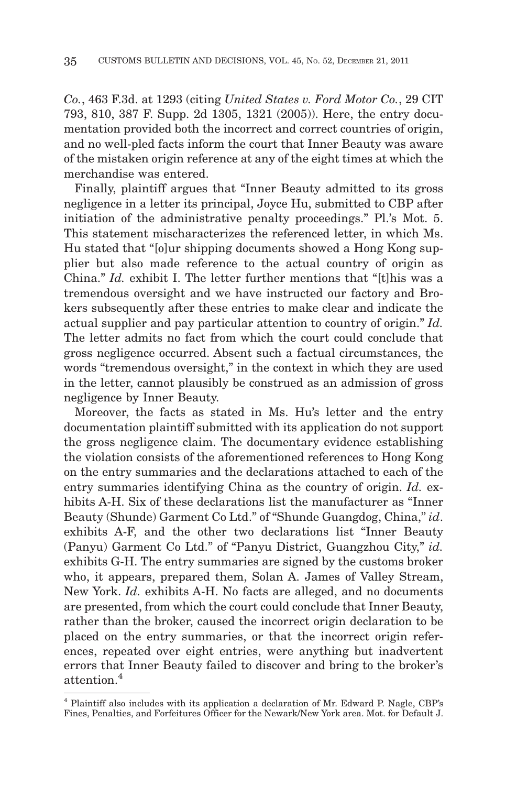*Co.*, 463 F.3d. at 1293 (citing *United States v. Ford Motor Co.*, 29 CIT 793, 810, 387 F. Supp. 2d 1305, 1321 (2005)). Here, the entry documentation provided both the incorrect and correct countries of origin, and no well-pled facts inform the court that Inner Beauty was aware of the mistaken origin reference at any of the eight times at which the merchandise was entered.

Finally, plaintiff argues that "Inner Beauty admitted to its gross negligence in a letter its principal, Joyce Hu, submitted to CBP after initiation of the administrative penalty proceedings." Pl.'s Mot. 5. This statement mischaracterizes the referenced letter, in which Ms. Hu stated that "[o]ur shipping documents showed a Hong Kong supplier but also made reference to the actual country of origin as China." *Id.* exhibit I. The letter further mentions that "[t]his was a tremendous oversight and we have instructed our factory and Brokers subsequently after these entries to make clear and indicate the actual supplier and pay particular attention to country of origin." *Id.* The letter admits no fact from which the court could conclude that gross negligence occurred. Absent such a factual circumstances, the words "tremendous oversight," in the context in which they are used in the letter, cannot plausibly be construed as an admission of gross negligence by Inner Beauty.

Moreover, the facts as stated in Ms. Hu's letter and the entry documentation plaintiff submitted with its application do not support the gross negligence claim. The documentary evidence establishing the violation consists of the aforementioned references to Hong Kong on the entry summaries and the declarations attached to each of the entry summaries identifying China as the country of origin. *Id.* exhibits A-H. Six of these declarations list the manufacturer as "Inner Beauty (Shunde) Garment Co Ltd." of "Shunde Guangdog, China," *id*. exhibits A-F, and the other two declarations list "Inner Beauty (Panyu) Garment Co Ltd." of "Panyu District, Guangzhou City," *id.* exhibits G-H. The entry summaries are signed by the customs broker who, it appears, prepared them, Solan A. James of Valley Stream, New York. *Id.* exhibits A-H. No facts are alleged, and no documents are presented, from which the court could conclude that Inner Beauty, rather than the broker, caused the incorrect origin declaration to be placed on the entry summaries, or that the incorrect origin references, repeated over eight entries, were anything but inadvertent errors that Inner Beauty failed to discover and bring to the broker's attention.4

<sup>4</sup> Plaintiff also includes with its application a declaration of Mr. Edward P. Nagle, CBP's Fines, Penalties, and Forfeitures Officer for the Newark/New York area. Mot. for Default J.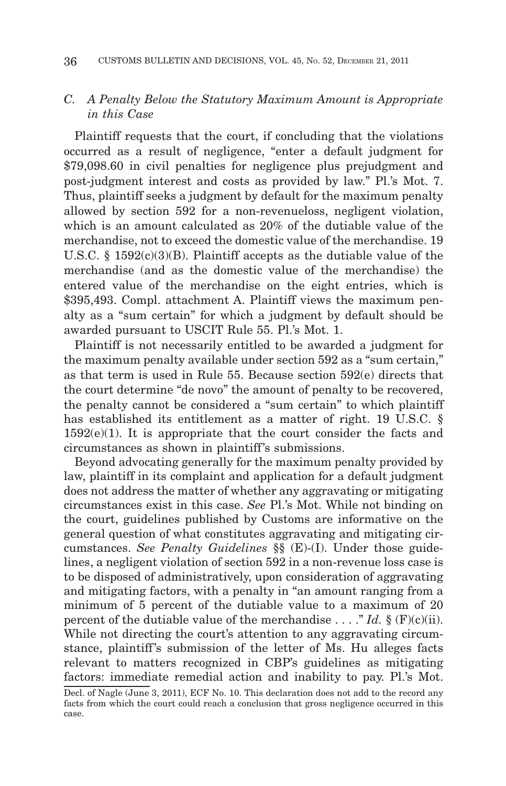# *C. A Penalty Below the Statutory Maximum Amount is Appropriate in this Case*

Plaintiff requests that the court, if concluding that the violations occurred as a result of negligence, "enter a default judgment for \$79,098.60 in civil penalties for negligence plus prejudgment and post-judgment interest and costs as provided by law." Pl.'s Mot. 7. Thus, plaintiff seeks a judgment by default for the maximum penalty allowed by section 592 for a non-revenueloss, negligent violation, which is an amount calculated as 20% of the dutiable value of the merchandise, not to exceed the domestic value of the merchandise. 19 U.S.C. §  $1592(c)(3)(B)$ . Plaintiff accepts as the dutiable value of the merchandise (and as the domestic value of the merchandise) the entered value of the merchandise on the eight entries, which is \$395,493. Compl. attachment A. Plaintiff views the maximum penalty as a "sum certain" for which a judgment by default should be awarded pursuant to USCIT Rule 55. Pl.'s Mot. 1.

Plaintiff is not necessarily entitled to be awarded a judgment for the maximum penalty available under section 592 as a "sum certain," as that term is used in Rule 55. Because section 592(e) directs that the court determine "de novo" the amount of penalty to be recovered, the penalty cannot be considered a "sum certain" to which plaintiff has established its entitlement as a matter of right. 19 U.S.C. §  $1592(e)(1)$ . It is appropriate that the court consider the facts and circumstances as shown in plaintiff's submissions.

Beyond advocating generally for the maximum penalty provided by law, plaintiff in its complaint and application for a default judgment does not address the matter of whether any aggravating or mitigating circumstances exist in this case. *See* Pl.'s Mot. While not binding on the court, guidelines published by Customs are informative on the general question of what constitutes aggravating and mitigating circumstances. *See Penalty Guidelines* §§ (E)-(I). Under those guidelines, a negligent violation of section 592 in a non-revenue loss case is to be disposed of administratively, upon consideration of aggravating and mitigating factors, with a penalty in "an amount ranging from a minimum of 5 percent of the dutiable value to a maximum of 20 percent of the dutiable value of the merchandise  $\ldots$  "*Id.* § (F)(c)(ii). While not directing the court's attention to any aggravating circumstance, plaintiff's submission of the letter of Ms. Hu alleges facts relevant to matters recognized in CBP's guidelines as mitigating factors: immediate remedial action and inability to pay. Pl.'s Mot.

Decl. of Nagle (June 3, 2011), ECF No. 10. This declaration does not add to the record any facts from which the court could reach a conclusion that gross negligence occurred in this case.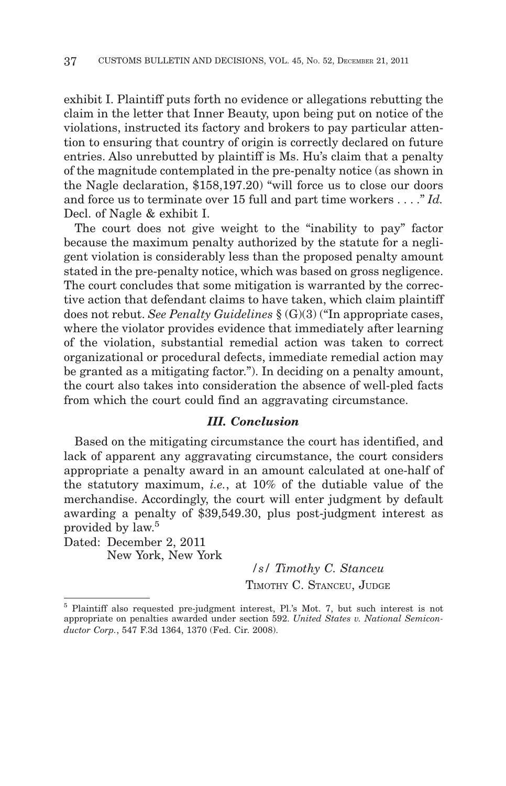exhibit I. Plaintiff puts forth no evidence or allegations rebutting the claim in the letter that Inner Beauty, upon being put on notice of the violations, instructed its factory and brokers to pay particular attention to ensuring that country of origin is correctly declared on future entries. Also unrebutted by plaintiff is Ms. Hu's claim that a penalty of the magnitude contemplated in the pre-penalty notice (as shown in the Nagle declaration, \$158,197.20) "will force us to close our doors and force us to terminate over 15 full and part time workers . . . ." *Id.* Decl. of Nagle & exhibit I.

The court does not give weight to the "inability to pay" factor because the maximum penalty authorized by the statute for a negligent violation is considerably less than the proposed penalty amount stated in the pre-penalty notice, which was based on gross negligence. The court concludes that some mitigation is warranted by the corrective action that defendant claims to have taken, which claim plaintiff does not rebut. *See Penalty Guidelines* § (G)(3) ("In appropriate cases, where the violator provides evidence that immediately after learning of the violation, substantial remedial action was taken to correct organizational or procedural defects, immediate remedial action may be granted as a mitigating factor."). In deciding on a penalty amount, the court also takes into consideration the absence of well-pled facts from which the court could find an aggravating circumstance.

# *III. Conclusion*

Based on the mitigating circumstance the court has identified, and lack of apparent any aggravating circumstance, the court considers appropriate a penalty award in an amount calculated at one-half of the statutory maximum, *i.e.*, at 10% of the dutiable value of the merchandise. Accordingly, the court will enter judgment by default awarding a penalty of \$39,549.30, plus post-judgment interest as provided by law.<sup>5</sup>

Dated: December 2, 2011 New York, New York

*/s/ Timothy C. Stanceu* TIMOTHY C. STANCEU, JUDGE

<sup>5</sup> Plaintiff also requested pre-judgment interest, Pl.'s Mot. 7, but such interest is not appropriate on penalties awarded under section 592. *United States v. National Semiconductor Corp.*, 547 F.3d 1364, 1370 (Fed. Cir. 2008).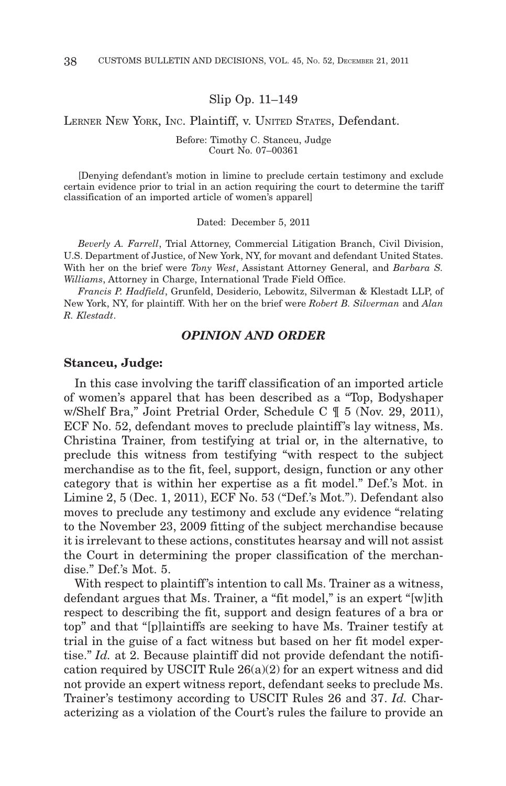Slip Op. 11–149

## LERNER NEW YORK, INC. Plaintiff, v. UNITED STATES, Defendant.

#### Before: Timothy C. Stanceu, Judge Court No. 07–00361

[Denying defendant's motion in limine to preclude certain testimony and exclude certain evidence prior to trial in an action requiring the court to determine the tariff classification of an imported article of women's apparel]

Dated: December 5, 2011

*Beverly A. Farrell*, Trial Attorney, Commercial Litigation Branch, Civil Division, U.S. Department of Justice, of New York, NY, for movant and defendant United States. With her on the brief were *Tony West*, Assistant Attorney General, and *Barbara S. Williams*, Attorney in Charge, International Trade Field Office.

*Francis P. Hadfield*, Grunfeld, Desiderio, Lebowitz, Silverman & Klestadt LLP, of New York, NY, for plaintiff. With her on the brief were *Robert B. Silverman* and *Alan R. Klestadt*.

# *OPINION AND ORDER*

#### **Stanceu, Judge:**

In this case involving the tariff classification of an imported article of women's apparel that has been described as a "Top, Bodyshaper w/Shelf Bra," Joint Pretrial Order, Schedule C  $\parallel$  5 (Nov. 29, 2011), ECF No. 52, defendant moves to preclude plaintiff's lay witness, Ms. Christina Trainer, from testifying at trial or, in the alternative, to preclude this witness from testifying "with respect to the subject merchandise as to the fit, feel, support, design, function or any other category that is within her expertise as a fit model." Def.'s Mot. in Limine 2, 5 (Dec. 1, 2011), ECF No. 53 ("Def.'s Mot."). Defendant also moves to preclude any testimony and exclude any evidence "relating to the November 23, 2009 fitting of the subject merchandise because it is irrelevant to these actions, constitutes hearsay and will not assist the Court in determining the proper classification of the merchandise." Def.'s Mot. 5.

With respect to plaintiff's intention to call Ms. Trainer as a witness, defendant argues that Ms. Trainer, a "fit model," is an expert "[w]ith respect to describing the fit, support and design features of a bra or top" and that "[p]laintiffs are seeking to have Ms. Trainer testify at trial in the guise of a fact witness but based on her fit model expertise." *Id.* at 2. Because plaintiff did not provide defendant the notification required by USCIT Rule  $26(a)(2)$  for an expert witness and did not provide an expert witness report, defendant seeks to preclude Ms. Trainer's testimony according to USCIT Rules 26 and 37. *Id.* Characterizing as a violation of the Court's rules the failure to provide an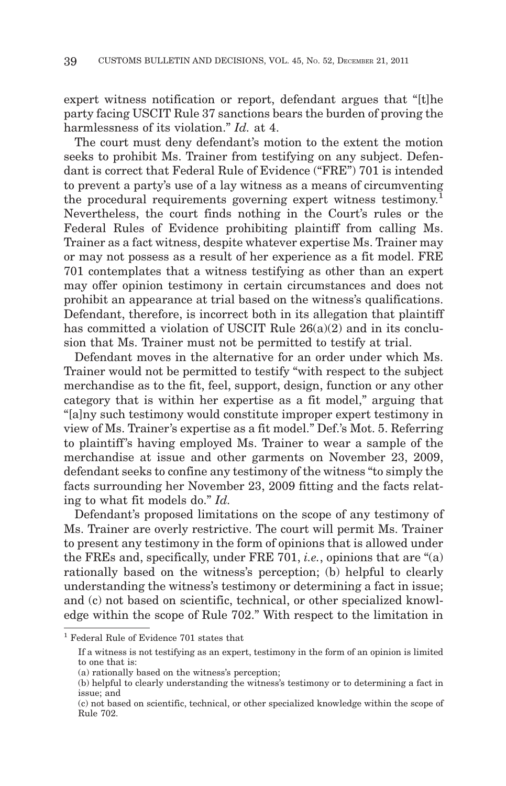expert witness notification or report, defendant argues that "[t]he party facing USCIT Rule 37 sanctions bears the burden of proving the harmlessness of its violation." *Id.* at 4.

The court must deny defendant's motion to the extent the motion seeks to prohibit Ms. Trainer from testifying on any subject. Defendant is correct that Federal Rule of Evidence ("FRE") 701 is intended to prevent a party's use of a lay witness as a means of circumventing the procedural requirements governing expert witness testimony.<sup>1</sup> Nevertheless, the court finds nothing in the Court's rules or the Federal Rules of Evidence prohibiting plaintiff from calling Ms. Trainer as a fact witness, despite whatever expertise Ms. Trainer may or may not possess as a result of her experience as a fit model. FRE 701 contemplates that a witness testifying as other than an expert may offer opinion testimony in certain circumstances and does not prohibit an appearance at trial based on the witness's qualifications. Defendant, therefore, is incorrect both in its allegation that plaintiff has committed a violation of USCIT Rule  $26(a)(2)$  and in its conclusion that Ms. Trainer must not be permitted to testify at trial.

Defendant moves in the alternative for an order under which Ms. Trainer would not be permitted to testify "with respect to the subject merchandise as to the fit, feel, support, design, function or any other category that is within her expertise as a fit model," arguing that "[a]ny such testimony would constitute improper expert testimony in view of Ms. Trainer's expertise as a fit model." Def.'s Mot. 5. Referring to plaintiff's having employed Ms. Trainer to wear a sample of the merchandise at issue and other garments on November 23, 2009, defendant seeks to confine any testimony of the witness "to simply the facts surrounding her November 23, 2009 fitting and the facts relating to what fit models do." *Id.*

Defendant's proposed limitations on the scope of any testimony of Ms. Trainer are overly restrictive. The court will permit Ms. Trainer to present any testimony in the form of opinions that is allowed under the FREs and, specifically, under FRE 701, *i.e.*, opinions that are "(a) rationally based on the witness's perception; (b) helpful to clearly understanding the witness's testimony or determining a fact in issue; and (c) not based on scientific, technical, or other specialized knowledge within the scope of Rule 702." With respect to the limitation in

<sup>1</sup> Federal Rule of Evidence 701 states that

If a witness is not testifying as an expert, testimony in the form of an opinion is limited to one that is:

<sup>(</sup>a) rationally based on the witness's perception;

<sup>(</sup>b) helpful to clearly understanding the witness's testimony or to determining a fact in issue; and

<sup>(</sup>c) not based on scientific, technical, or other specialized knowledge within the scope of Rule 702.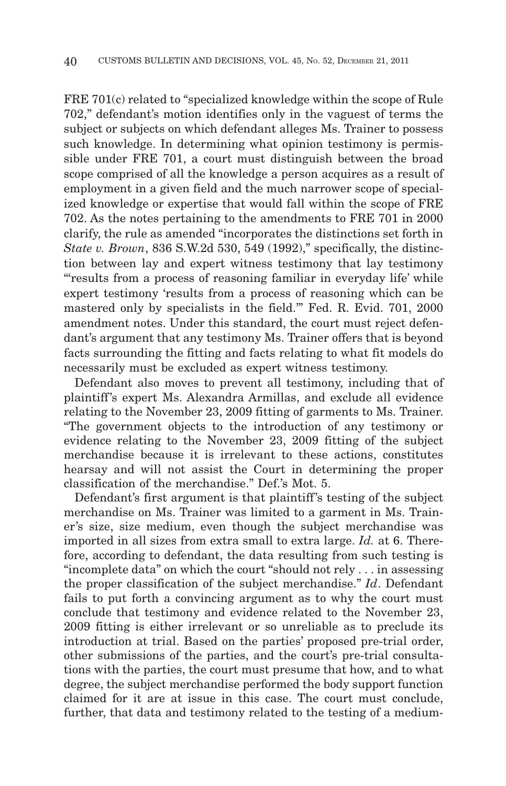FRE 701(c) related to "specialized knowledge within the scope of Rule 702," defendant's motion identifies only in the vaguest of terms the subject or subjects on which defendant alleges Ms. Trainer to possess such knowledge. In determining what opinion testimony is permissible under FRE 701, a court must distinguish between the broad scope comprised of all the knowledge a person acquires as a result of employment in a given field and the much narrower scope of specialized knowledge or expertise that would fall within the scope of FRE 702. As the notes pertaining to the amendments to FRE 701 in 2000 clarify, the rule as amended "incorporates the distinctions set forth in *State v. Brown*, 836 S.W.2d 530, 549 (1992)," specifically, the distinction between lay and expert witness testimony that lay testimony "'results from a process of reasoning familiar in everyday life' while expert testimony 'results from a process of reasoning which can be mastered only by specialists in the field.'" Fed. R. Evid. 701, 2000 amendment notes. Under this standard, the court must reject defendant's argument that any testimony Ms. Trainer offers that is beyond facts surrounding the fitting and facts relating to what fit models do necessarily must be excluded as expert witness testimony.

Defendant also moves to prevent all testimony, including that of plaintiff 's expert Ms. Alexandra Armillas, and exclude all evidence relating to the November 23, 2009 fitting of garments to Ms. Trainer. "The government objects to the introduction of any testimony or evidence relating to the November 23, 2009 fitting of the subject merchandise because it is irrelevant to these actions, constitutes hearsay and will not assist the Court in determining the proper classification of the merchandise." Def.'s Mot. 5.

Defendant's first argument is that plaintiff's testing of the subject merchandise on Ms. Trainer was limited to a garment in Ms. Trainer's size, size medium, even though the subject merchandise was imported in all sizes from extra small to extra large. *Id.* at 6. Therefore, according to defendant, the data resulting from such testing is "incomplete data" on which the court "should not rely . . . in assessing the proper classification of the subject merchandise." *Id*. Defendant fails to put forth a convincing argument as to why the court must conclude that testimony and evidence related to the November 23, 2009 fitting is either irrelevant or so unreliable as to preclude its introduction at trial. Based on the parties' proposed pre-trial order, other submissions of the parties, and the court's pre-trial consultations with the parties, the court must presume that how, and to what degree, the subject merchandise performed the body support function claimed for it are at issue in this case. The court must conclude, further, that data and testimony related to the testing of a medium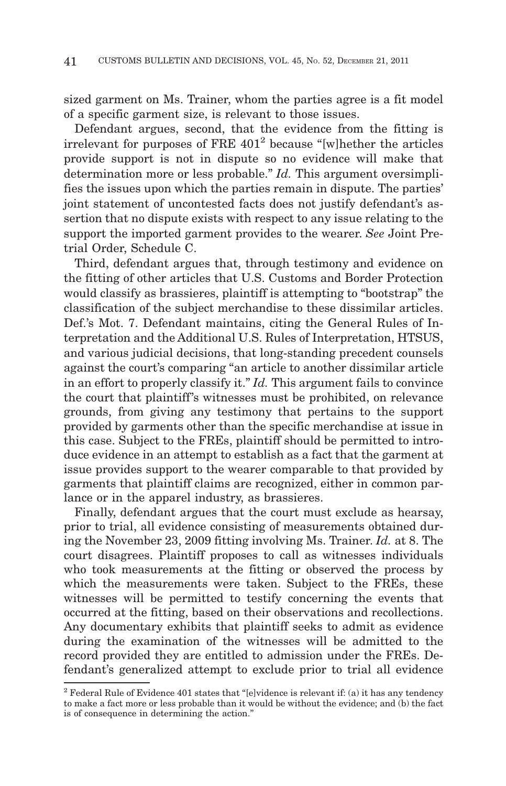sized garment on Ms. Trainer, whom the parties agree is a fit model of a specific garment size, is relevant to those issues.

Defendant argues, second, that the evidence from the fitting is irrelevant for purposes of FRE 4012 because "[w]hether the articles provide support is not in dispute so no evidence will make that determination more or less probable." *Id.* This argument oversimplifies the issues upon which the parties remain in dispute. The parties' joint statement of uncontested facts does not justify defendant's assertion that no dispute exists with respect to any issue relating to the support the imported garment provides to the wearer. *See* Joint Pretrial Order, Schedule C.

Third, defendant argues that, through testimony and evidence on the fitting of other articles that U.S. Customs and Border Protection would classify as brassieres, plaintiff is attempting to "bootstrap" the classification of the subject merchandise to these dissimilar articles. Def.'s Mot. 7. Defendant maintains, citing the General Rules of Interpretation and the Additional U.S. Rules of Interpretation, HTSUS, and various judicial decisions, that long-standing precedent counsels against the court's comparing "an article to another dissimilar article in an effort to properly classify it." *Id.* This argument fails to convince the court that plaintiff 's witnesses must be prohibited, on relevance grounds, from giving any testimony that pertains to the support provided by garments other than the specific merchandise at issue in this case. Subject to the FREs, plaintiff should be permitted to introduce evidence in an attempt to establish as a fact that the garment at issue provides support to the wearer comparable to that provided by garments that plaintiff claims are recognized, either in common parlance or in the apparel industry, as brassieres.

Finally, defendant argues that the court must exclude as hearsay, prior to trial, all evidence consisting of measurements obtained during the November 23, 2009 fitting involving Ms. Trainer. *Id.* at 8. The court disagrees. Plaintiff proposes to call as witnesses individuals who took measurements at the fitting or observed the process by which the measurements were taken. Subject to the FREs, these witnesses will be permitted to testify concerning the events that occurred at the fitting, based on their observations and recollections. Any documentary exhibits that plaintiff seeks to admit as evidence during the examination of the witnesses will be admitted to the record provided they are entitled to admission under the FREs. Defendant's generalized attempt to exclude prior to trial all evidence

 $2$  Federal Rule of Evidence 401 states that "[e]vidence is relevant if: (a) it has any tendency to make a fact more or less probable than it would be without the evidence; and (b) the fact is of consequence in determining the action."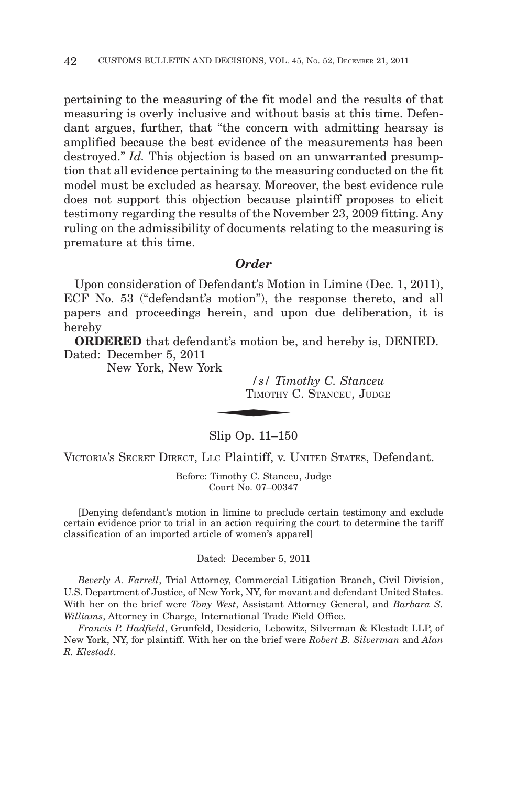pertaining to the measuring of the fit model and the results of that measuring is overly inclusive and without basis at this time. Defendant argues, further, that "the concern with admitting hearsay is amplified because the best evidence of the measurements has been destroyed." *Id.* This objection is based on an unwarranted presumption that all evidence pertaining to the measuring conducted on the fit model must be excluded as hearsay. Moreover, the best evidence rule does not support this objection because plaintiff proposes to elicit testimony regarding the results of the November 23, 2009 fitting. Any ruling on the admissibility of documents relating to the measuring is premature at this time.

## *Order*

Upon consideration of Defendant's Motion in Limine (Dec. 1, 2011), ECF No. 53 ("defendant's motion"), the response thereto, and all papers and proceedings herein, and upon due deliberation, it is hereby

**ORDERED** that defendant's motion be, and hereby is, DENIED.<br>
ated: December 5, 2011<br>
New York, New York<br>  $\frac{1}{s}$  Timothy C. Stanceu<br>
TIMOTHY C. STANCEU, JUDGE Dated: December 5, 2011

New York, New York

*/s/ Timothy C. Stanceu* TIMOTHY C. STANCEU, JUDGE

Slip Op. 11–150

VICTORIA'S SECRET DIRECT, LLC Plaintiff, v. UNITED STATES, Defendant.

Before: Timothy C. Stanceu, Judge Court No. 07–00347

[Denying defendant's motion in limine to preclude certain testimony and exclude certain evidence prior to trial in an action requiring the court to determine the tariff classification of an imported article of women's apparel]

Dated: December 5, 2011

*Beverly A. Farrell*, Trial Attorney, Commercial Litigation Branch, Civil Division, U.S. Department of Justice, of New York, NY, for movant and defendant United States. With her on the brief were *Tony West*, Assistant Attorney General, and *Barbara S. Williams*, Attorney in Charge, International Trade Field Office.

*Francis P. Hadfield*, Grunfeld, Desiderio, Lebowitz, Silverman & Klestadt LLP, of New York, NY, for plaintiff. With her on the brief were *Robert B. Silverman* and *Alan R. Klestadt*.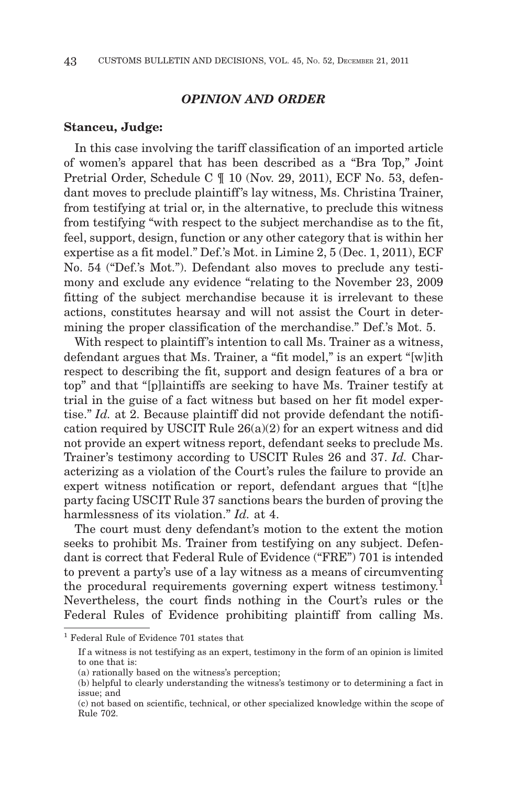# *OPINION AND ORDER*

#### **Stanceu, Judge:**

In this case involving the tariff classification of an imported article of women's apparel that has been described as a "Bra Top," Joint Pretrial Order, Schedule C ¶ 10 (Nov. 29, 2011), ECF No. 53, defendant moves to preclude plaintiff's lay witness, Ms. Christina Trainer, from testifying at trial or, in the alternative, to preclude this witness from testifying "with respect to the subject merchandise as to the fit, feel, support, design, function or any other category that is within her expertise as a fit model." Def.'s Mot. in Limine 2, 5 (Dec. 1, 2011), ECF No. 54 ("Def.'s Mot."). Defendant also moves to preclude any testimony and exclude any evidence "relating to the November 23, 2009 fitting of the subject merchandise because it is irrelevant to these actions, constitutes hearsay and will not assist the Court in determining the proper classification of the merchandise." Def.'s Mot. 5.

With respect to plaintiff's intention to call Ms. Trainer as a witness, defendant argues that Ms. Trainer, a "fit model," is an expert "[w]ith respect to describing the fit, support and design features of a bra or top" and that "[p]laintiffs are seeking to have Ms. Trainer testify at trial in the guise of a fact witness but based on her fit model expertise." *Id.* at 2. Because plaintiff did not provide defendant the notification required by USCIT Rule  $26(a)(2)$  for an expert witness and did not provide an expert witness report, defendant seeks to preclude Ms. Trainer's testimony according to USCIT Rules 26 and 37. *Id.* Characterizing as a violation of the Court's rules the failure to provide an expert witness notification or report, defendant argues that "[t]he party facing USCIT Rule 37 sanctions bears the burden of proving the harmlessness of its violation." *Id.* at 4.

The court must deny defendant's motion to the extent the motion seeks to prohibit Ms. Trainer from testifying on any subject. Defendant is correct that Federal Rule of Evidence ("FRE") 701 is intended to prevent a party's use of a lay witness as a means of circumventing the procedural requirements governing expert witness testimony.<sup>1</sup> Nevertheless, the court finds nothing in the Court's rules or the Federal Rules of Evidence prohibiting plaintiff from calling Ms.

<sup>1</sup> Federal Rule of Evidence 701 states that

If a witness is not testifying as an expert, testimony in the form of an opinion is limited to one that is:

<sup>(</sup>a) rationally based on the witness's perception;

<sup>(</sup>b) helpful to clearly understanding the witness's testimony or to determining a fact in issue; and

<sup>(</sup>c) not based on scientific, technical, or other specialized knowledge within the scope of Rule 702.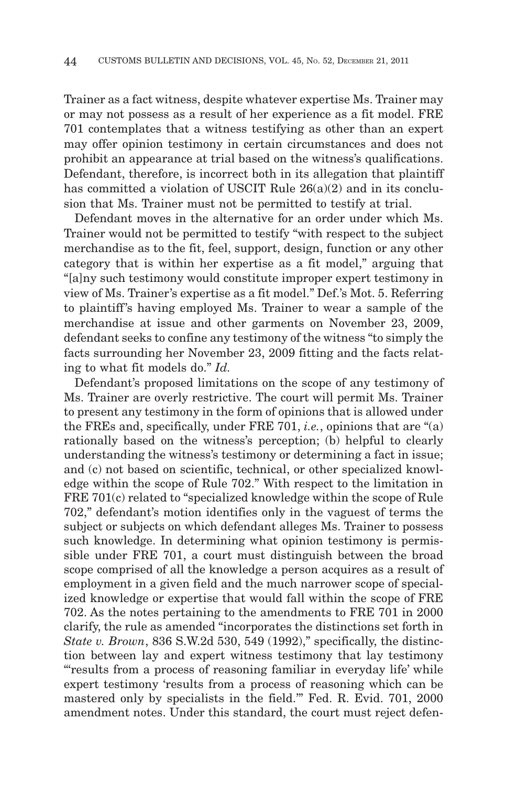Trainer as a fact witness, despite whatever expertise Ms. Trainer may or may not possess as a result of her experience as a fit model. FRE 701 contemplates that a witness testifying as other than an expert may offer opinion testimony in certain circumstances and does not prohibit an appearance at trial based on the witness's qualifications. Defendant, therefore, is incorrect both in its allegation that plaintiff has committed a violation of USCIT Rule  $26(a)(2)$  and in its conclusion that Ms. Trainer must not be permitted to testify at trial.

Defendant moves in the alternative for an order under which Ms. Trainer would not be permitted to testify "with respect to the subject merchandise as to the fit, feel, support, design, function or any other category that is within her expertise as a fit model," arguing that "[a]ny such testimony would constitute improper expert testimony in view of Ms. Trainer's expertise as a fit model." Def.'s Mot. 5. Referring to plaintiff's having employed Ms. Trainer to wear a sample of the merchandise at issue and other garments on November 23, 2009, defendant seeks to confine any testimony of the witness "to simply the facts surrounding her November 23, 2009 fitting and the facts relating to what fit models do." *Id.*

Defendant's proposed limitations on the scope of any testimony of Ms. Trainer are overly restrictive. The court will permit Ms. Trainer to present any testimony in the form of opinions that is allowed under the FREs and, specifically, under FRE 701, *i.e.*, opinions that are "(a) rationally based on the witness's perception; (b) helpful to clearly understanding the witness's testimony or determining a fact in issue; and (c) not based on scientific, technical, or other specialized knowledge within the scope of Rule 702." With respect to the limitation in FRE 701(c) related to "specialized knowledge within the scope of Rule 702," defendant's motion identifies only in the vaguest of terms the subject or subjects on which defendant alleges Ms. Trainer to possess such knowledge. In determining what opinion testimony is permissible under FRE 701, a court must distinguish between the broad scope comprised of all the knowledge a person acquires as a result of employment in a given field and the much narrower scope of specialized knowledge or expertise that would fall within the scope of FRE 702. As the notes pertaining to the amendments to FRE 701 in 2000 clarify, the rule as amended "incorporates the distinctions set forth in *State v. Brown*, 836 S.W.2d 530, 549 (1992)," specifically, the distinction between lay and expert witness testimony that lay testimony "'results from a process of reasoning familiar in everyday life' while expert testimony 'results from a process of reasoning which can be mastered only by specialists in the field.'" Fed. R. Evid. 701, 2000 amendment notes. Under this standard, the court must reject defen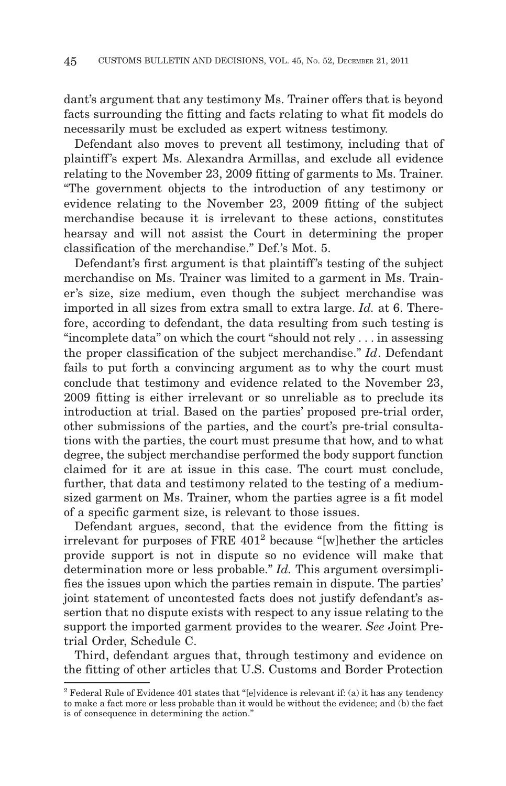dant's argument that any testimony Ms. Trainer offers that is beyond facts surrounding the fitting and facts relating to what fit models do necessarily must be excluded as expert witness testimony.

Defendant also moves to prevent all testimony, including that of plaintiff 's expert Ms. Alexandra Armillas, and exclude all evidence relating to the November 23, 2009 fitting of garments to Ms. Trainer. "The government objects to the introduction of any testimony or evidence relating to the November 23, 2009 fitting of the subject merchandise because it is irrelevant to these actions, constitutes hearsay and will not assist the Court in determining the proper classification of the merchandise." Def.'s Mot. 5.

Defendant's first argument is that plaintiff's testing of the subject merchandise on Ms. Trainer was limited to a garment in Ms. Trainer's size, size medium, even though the subject merchandise was imported in all sizes from extra small to extra large. *Id.* at 6. Therefore, according to defendant, the data resulting from such testing is "incomplete data" on which the court "should not rely . . . in assessing the proper classification of the subject merchandise." *Id*. Defendant fails to put forth a convincing argument as to why the court must conclude that testimony and evidence related to the November 23, 2009 fitting is either irrelevant or so unreliable as to preclude its introduction at trial. Based on the parties' proposed pre-trial order, other submissions of the parties, and the court's pre-trial consultations with the parties, the court must presume that how, and to what degree, the subject merchandise performed the body support function claimed for it are at issue in this case. The court must conclude, further, that data and testimony related to the testing of a mediumsized garment on Ms. Trainer, whom the parties agree is a fit model of a specific garment size, is relevant to those issues.

Defendant argues, second, that the evidence from the fitting is irrelevant for purposes of FRE  $401^2$  because "[w] hether the articles provide support is not in dispute so no evidence will make that determination more or less probable." *Id.* This argument oversimplifies the issues upon which the parties remain in dispute. The parties' joint statement of uncontested facts does not justify defendant's assertion that no dispute exists with respect to any issue relating to the support the imported garment provides to the wearer. *See* Joint Pretrial Order, Schedule C.

Third, defendant argues that, through testimony and evidence on the fitting of other articles that U.S. Customs and Border Protection

 $2$  Federal Rule of Evidence 401 states that "[e]vidence is relevant if: (a) it has any tendency to make a fact more or less probable than it would be without the evidence; and (b) the fact is of consequence in determining the action."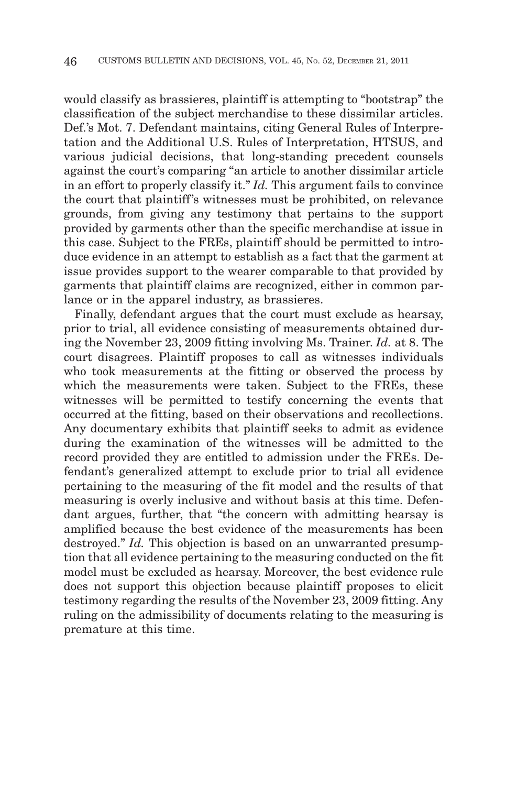would classify as brassieres, plaintiff is attempting to "bootstrap" the classification of the subject merchandise to these dissimilar articles. Def.'s Mot. 7. Defendant maintains, citing General Rules of Interpretation and the Additional U.S. Rules of Interpretation, HTSUS, and various judicial decisions, that long-standing precedent counsels against the court's comparing "an article to another dissimilar article in an effort to properly classify it." *Id.* This argument fails to convince the court that plaintiff 's witnesses must be prohibited, on relevance grounds, from giving any testimony that pertains to the support provided by garments other than the specific merchandise at issue in this case. Subject to the FREs, plaintiff should be permitted to introduce evidence in an attempt to establish as a fact that the garment at issue provides support to the wearer comparable to that provided by garments that plaintiff claims are recognized, either in common parlance or in the apparel industry, as brassieres.

Finally, defendant argues that the court must exclude as hearsay, prior to trial, all evidence consisting of measurements obtained during the November 23, 2009 fitting involving Ms. Trainer. *Id.* at 8. The court disagrees. Plaintiff proposes to call as witnesses individuals who took measurements at the fitting or observed the process by which the measurements were taken. Subject to the FREs, these witnesses will be permitted to testify concerning the events that occurred at the fitting, based on their observations and recollections. Any documentary exhibits that plaintiff seeks to admit as evidence during the examination of the witnesses will be admitted to the record provided they are entitled to admission under the FREs. Defendant's generalized attempt to exclude prior to trial all evidence pertaining to the measuring of the fit model and the results of that measuring is overly inclusive and without basis at this time. Defendant argues, further, that "the concern with admitting hearsay is amplified because the best evidence of the measurements has been destroyed." *Id.* This objection is based on an unwarranted presumption that all evidence pertaining to the measuring conducted on the fit model must be excluded as hearsay. Moreover, the best evidence rule does not support this objection because plaintiff proposes to elicit testimony regarding the results of the November 23, 2009 fitting. Any ruling on the admissibility of documents relating to the measuring is premature at this time.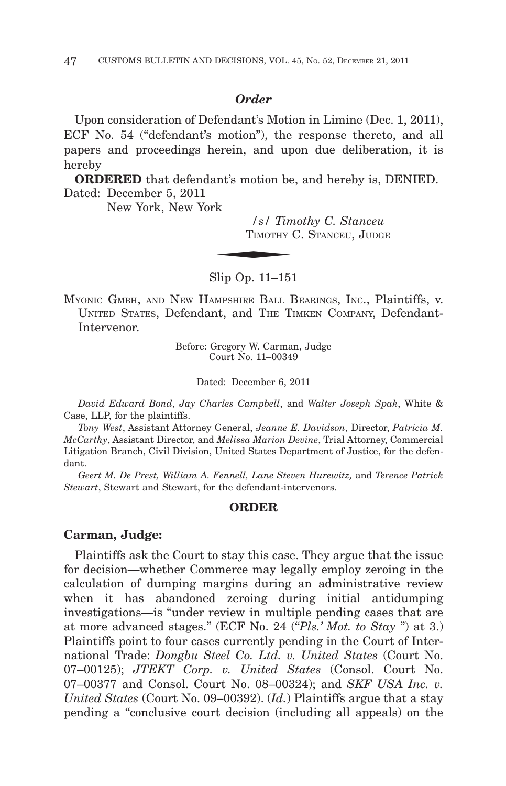## *Order*

Upon consideration of Defendant's Motion in Limine (Dec. 1, 2011), ECF No. 54 ("defendant's motion"), the response thereto, and all papers and proceedings herein, and upon due deliberation, it is hereby

**ORDERED** that defendant's motion be, and hereby is, DENIED.<br>
ated: December 5, 2011<br>
New York, New York<br>  $\frac{1}{s}$  Timothy C. Stanceu<br>
TIMOTHY C. STANCEU, JUDGE Dated: December 5, 2011

New York, New York

*/s/ Timothy C. Stanceu* TIMOTHY C. STANCEU, JUDGE

Slip Op. 11–151

MYONIC GMBH, AND NEW HAMPSHIRE BALL BEARINGS, INC., Plaintiffs, v. UNITED STATES, Defendant, and THE TIMKEN COMPANY, Defendant-Intervenor.

> Before: Gregory W. Carman, Judge Court No. 11–00349

> > Dated: December 6, 2011

*David Edward Bond*, *Jay Charles Campbell*, and *Walter Joseph Spak*, White & Case, LLP, for the plaintiffs.

*Tony West*, Assistant Attorney General, *Jeanne E. Davidson*, Director, *Patricia M. McCarthy*, Assistant Director, and *Melissa Marion Devine*, Trial Attorney, Commercial Litigation Branch, Civil Division, United States Department of Justice, for the defendant.

*Geert M. De Prest, William A. Fennell, Lane Steven Hurewitz,* and *Terence Patrick Stewart*, Stewart and Stewart, for the defendant-intervenors.

## **ORDER**

#### **Carman, Judge:**

Plaintiffs ask the Court to stay this case. They argue that the issue for decision—whether Commerce may legally employ zeroing in the calculation of dumping margins during an administrative review when it has abandoned zeroing during initial antidumping investigations—is "under review in multiple pending cases that are at more advanced stages." (ECF No. 24 ("*Pls.' Mot. to Stay* ") at 3.) Plaintiffs point to four cases currently pending in the Court of International Trade: *Dongbu Steel Co. Ltd. v. United States* (Court No. 07–00125); *JTEKT Corp. v. United States* (Consol. Court No. 07–00377 and Consol. Court No. 08–00324); and *SKF USA Inc. v. United States* (Court No. 09–00392). (*Id.*) Plaintiffs argue that a stay pending a "conclusive court decision (including all appeals) on the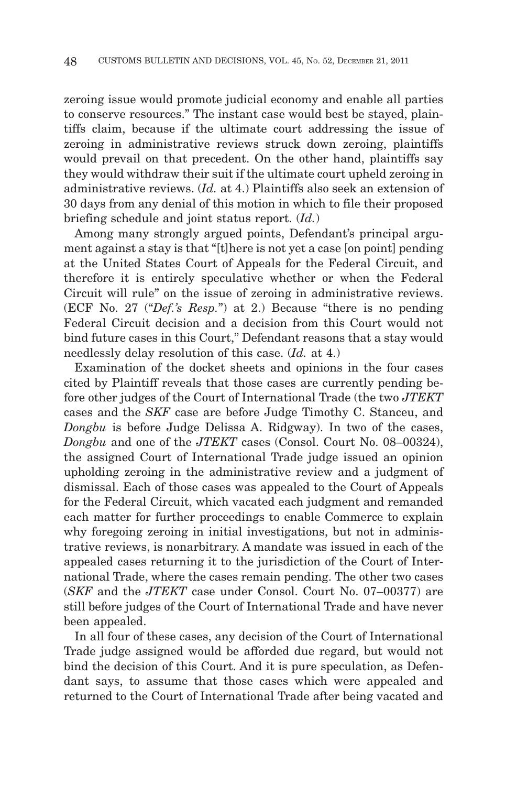zeroing issue would promote judicial economy and enable all parties to conserve resources." The instant case would best be stayed, plaintiffs claim, because if the ultimate court addressing the issue of zeroing in administrative reviews struck down zeroing, plaintiffs would prevail on that precedent. On the other hand, plaintiffs say they would withdraw their suit if the ultimate court upheld zeroing in administrative reviews. (*Id.* at 4.) Plaintiffs also seek an extension of 30 days from any denial of this motion in which to file their proposed briefing schedule and joint status report. (*Id.*)

Among many strongly argued points, Defendant's principal argument against a stay is that "[t]here is not yet a case [on point] pending at the United States Court of Appeals for the Federal Circuit, and therefore it is entirely speculative whether or when the Federal Circuit will rule" on the issue of zeroing in administrative reviews. (ECF No. 27 ("*Def.'s Resp.*") at 2.) Because "there is no pending Federal Circuit decision and a decision from this Court would not bind future cases in this Court," Defendant reasons that a stay would needlessly delay resolution of this case. (*Id.* at 4.)

Examination of the docket sheets and opinions in the four cases cited by Plaintiff reveals that those cases are currently pending before other judges of the Court of International Trade (the two *JTEKT* cases and the *SKF* case are before Judge Timothy C. Stanceu, and *Dongbu* is before Judge Delissa A. Ridgway). In two of the cases, *Dongbu* and one of the *JTEKT* cases (Consol. Court No. 08–00324), the assigned Court of International Trade judge issued an opinion upholding zeroing in the administrative review and a judgment of dismissal. Each of those cases was appealed to the Court of Appeals for the Federal Circuit, which vacated each judgment and remanded each matter for further proceedings to enable Commerce to explain why foregoing zeroing in initial investigations, but not in administrative reviews, is nonarbitrary. A mandate was issued in each of the appealed cases returning it to the jurisdiction of the Court of International Trade, where the cases remain pending. The other two cases (*SKF* and the *JTEKT* case under Consol. Court No. 07–00377) are still before judges of the Court of International Trade and have never been appealed.

In all four of these cases, any decision of the Court of International Trade judge assigned would be afforded due regard, but would not bind the decision of this Court. And it is pure speculation, as Defendant says, to assume that those cases which were appealed and returned to the Court of International Trade after being vacated and